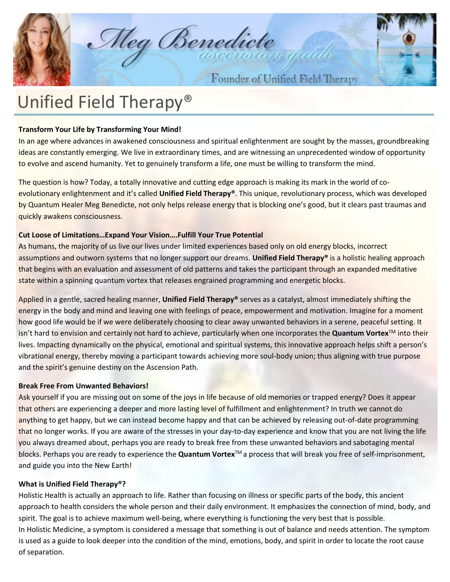Meg Benedicte

Founder of Unified Field Therapy

# Unified Field Therapy®

## **Transform Your Life by Transforming Your Mind!**

In an age where advances in awakened consciousness and spiritual enlightenment are sought by the masses, groundbreaking ideas are constantly emerging. We live in extraordinary times, and are witnessing an unprecedented window of opportunity to evolve and ascend humanity. Yet to genuinely transform a life, one must be willing to transform the mind.

The question is how? Today, a totally innovative and cutting edge approach is making its mark in the world of coevolutionary enlightenment and it's called **Unified Field Therapy®**. This unique, revolutionary process, which was developed by Quantum Healer Meg Benedicte, not only helps release energy that is blocking one's good, but it clears past traumas and quickly awakens consciousness.

## **Cut Loose of Limitations…Expand Your Vision….Fulfill Your True Potential**

As humans, the majority of us live our lives under limited experiences based only on old energy blocks, incorrect assumptions and outworn systems that no longer support our dreams. **Unified Field Therapy®** is a holistic healing approach that begins with an evaluation and assessment of old patterns and takes the participant through an expanded meditative state within a spinning quantum vortex that releases engrained programming and energetic blocks.

Applied in a gentle, sacred healing manner, **Unified Field Therapy®** serves as a catalyst, almost immediately shifting the energy in the body and mind and leaving one with feelings of peace, empowerment and motivation. Imagine for a moment how good life would be if we were deliberately choosing to clear away unwanted behaviors in a serene, peaceful setting. It isn't hard to envision and certainly not hard to achieve, particularly when one incorporates the **Quantum Vortex**TM into their lives. Impacting dynamically on the physical, emotional and spiritual systems, this innovative approach helps shift a person's vibrational energy, thereby moving a participant towards achieving more soul-body union; thus aligning with true purpose and the spirit's genuine destiny on the Ascension Path.

## **Break Free From Unwanted Behaviors!**

Ask yourself if you are missing out on some of the joys in life because of old memories or trapped energy? Does it appear that others are experiencing a deeper and more lasting level of fulfillment and enlightenment? In truth we cannot do anything to get happy, but we can instead become happy and that can be achieved by releasing out-of-date programming that no longer works. If you are aware of the stresses in your day-to-day experience and know that you are not living the life you always dreamed about, perhaps you are ready to break free from these unwanted behaviors and sabotaging mental blocks. Perhaps you are ready to experience the **Quantum Vortex**TM a process that will break you free of self-imprisonment, and guide you into the New Earth!

### **What is Unified Field Therapy®?**

Holistic Health is actually an approach to life. Rather than focusing on illness or specific parts of the body, this ancient approach to health considers the whole person and their daily environment. It emphasizes the connection of mind, body, and spirit. The goal is to achieve maximum well-being, where everything is functioning the very best that is possible. In Holistic Medicine, a symptom is considered a message that something is out of balance and needs attention. The symptom is used as a guide to look deeper into the condition of the mind, emotions, body, and spirit in order to locate the root cause of separation.